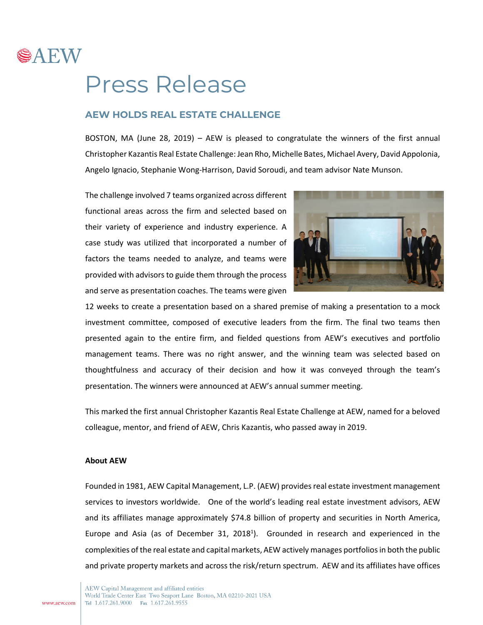

## Press Release

## **AEW HOLDS REAL ESTATE CHALLENGE**

BOSTON, MA (June 28, 2019) – AEW is pleased to congratulate the winners of the first annual Christopher Kazantis Real Estate Challenge: Jean Rho, Michelle Bates, Michael Avery, David Appolonia, Angelo Ignacio, Stephanie Wong-Harrison, David Soroudi, and team advisor Nate Munson.

The challenge involved 7 teams organized across different functional areas across the firm and selected based on their variety of experience and industry experience. A case study was utilized that incorporated a number of factors the teams needed to analyze, and teams were provided with advisors to guide them through the process and serve as presentation coaches. The teams were given



12 weeks to create a presentation based on a shared premise of making a presentation to a mock investment committee, composed of executive leaders from the firm. The final two teams then presented again to the entire firm, and fielded questions from AEW's executives and portfolio management teams. There was no right answer, and the winning team was selected based on thoughtfulness and accuracy of their decision and how it was conveyed through the team's presentation. The winners were announced at AEW's annual summer meeting.

This marked the first annual Christopher Kazantis Real Estate Challenge at AEW, named for a beloved colleague, mentor, and friend of AEW, Chris Kazantis, who passed away in 2019.

## **About AEW**

Founded in 1981, AEW Capital Management, L.P. (AEW) provides real estate investment management services to investors worldwide. One of the world's leading real estate investment advisors, AEW and its affiliates manage approximately \$74.8 billion of property and securities in North America, Europe and Asia (as of December 31, 2018<sup>1</sup>). Grounded in research and experienced in the complexities of the real estate and capital markets, AEW actively manages portfoliosin both the public and private property markets and across the risk/return spectrum. AEW and its affiliates have offices